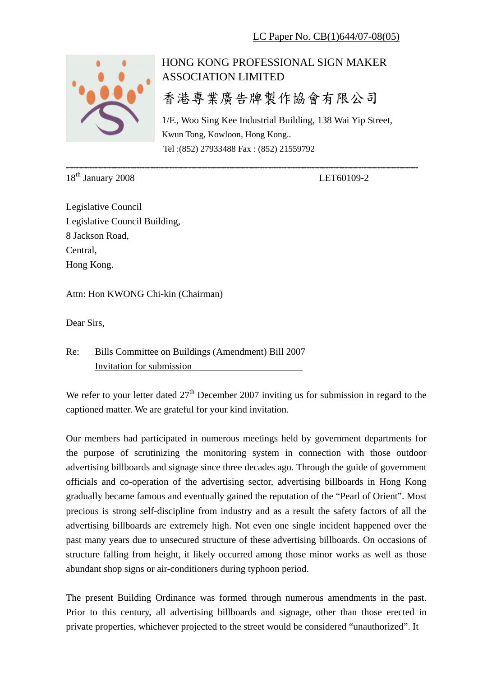

## HONG KONG PROFESSIONAL SIGN MAKER ASSOCIATION LIMITED

香港專業廣告牌製作協會有限公司

\_\_\_\_\_\_\_\_\_\_\_\_\_\_\_\_\_\_\_\_\_\_\_\_\_\_\_\_\_\_\_\_\_\_\_\_\_\_\_\_\_\_\_\_\_\_\_\_\_\_\_\_\_\_\_\_\_\_\_\_\_\_\_\_\_\_\_\_\_\_\_\_\_

1/F., Woo Sing Kee Industrial Building, 138 Wai Yip Street, Kwun Tong, Kowloon, Hong Kong.. Tel :(852) 27933488 Fax : (852) 21559792

18<sup>th</sup> January 2008 LET60109-2

Legislative Council Legislative Council Building, 8 Jackson Road, Central, Hong Kong.

Attn: Hon KWONG Chi-kin (Chairman)

Dear Sirs,

Re: Bills Committee on Buildings (Amendment) Bill 2007 Invitation for submission

We refer to your letter dated  $27<sup>th</sup>$  December 2007 inviting us for submission in regard to the captioned matter. We are grateful for your kind invitation.

Our members had participated in numerous meetings held by government departments for the purpose of scrutinizing the monitoring system in connection with those outdoor advertising billboards and signage since three decades ago. Through the guide of government officials and co-operation of the advertising sector, advertising billboards in Hong Kong gradually became famous and eventually gained the reputation of the "Pearl of Orient". Most precious is strong self-discipline from industry and as a result the safety factors of all the advertising billboards are extremely high. Not even one single incident happened over the past many years due to unsecured structure of these advertising billboards. On occasions of structure falling from height, it likely occurred among those minor works as well as those abundant shop signs or air-conditioners during typhoon period.

The present Building Ordinance was formed through numerous amendments in the past. Prior to this century, all advertising billboards and signage, other than those erected in private properties, whichever projected to the street would be considered "unauthorized". It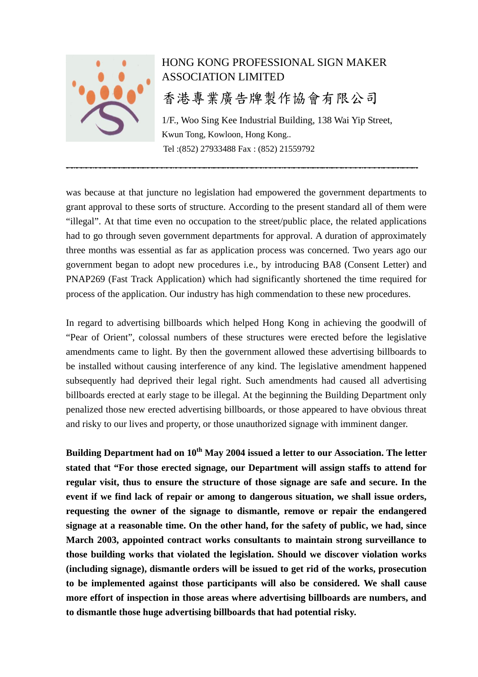

## HONG KONG PROFESSIONAL SIGN MAKER ASSOCIATION LIMITED

## 香港專業廣告牌製作協會有限公司

1/F., Woo Sing Kee Industrial Building, 138 Wai Yip Street, Kwun Tong, Kowloon, Hong Kong.. Tel :(852) 27933488 Fax : (852) 21559792

was because at that juncture no legislation had empowered the government departments to grant approval to these sorts of structure. According to the present standard all of them were "illegal". At that time even no occupation to the street/public place, the related applications had to go through seven government departments for approval. A duration of approximately three months was essential as far as application process was concerned. Two years ago our government began to adopt new procedures i.e., by introducing BA8 (Consent Letter) and PNAP269 (Fast Track Application) which had significantly shortened the time required for process of the application. Our industry has high commendation to these new procedures.

\_\_\_\_\_\_\_\_\_\_\_\_\_\_\_\_\_\_\_\_\_\_\_\_\_\_\_\_\_\_\_\_\_\_\_\_\_\_\_\_\_\_\_\_\_\_\_\_\_\_\_\_\_\_\_\_\_\_\_\_\_\_\_\_\_\_\_\_\_\_\_\_\_

In regard to advertising billboards which helped Hong Kong in achieving the goodwill of "Pear of Orient", colossal numbers of these structures were erected before the legislative amendments came to light. By then the government allowed these advertising billboards to be installed without causing interference of any kind. The legislative amendment happened subsequently had deprived their legal right. Such amendments had caused all advertising billboards erected at early stage to be illegal. At the beginning the Building Department only penalized those new erected advertising billboards, or those appeared to have obvious threat and risky to our lives and property, or those unauthorized signage with imminent danger.

**Building Department had on 10th May 2004 issued a letter to our Association. The letter stated that "For those erected signage, our Department will assign staffs to attend for regular visit, thus to ensure the structure of those signage are safe and secure. In the event if we find lack of repair or among to dangerous situation, we shall issue orders, requesting the owner of the signage to dismantle, remove or repair the endangered signage at a reasonable time. On the other hand, for the safety of public, we had, since March 2003, appointed contract works consultants to maintain strong surveillance to those building works that violated the legislation. Should we discover violation works (including signage), dismantle orders will be issued to get rid of the works, prosecution to be implemented against those participants will also be considered. We shall cause more effort of inspection in those areas where advertising billboards are numbers, and to dismantle those huge advertising billboards that had potential risky.**